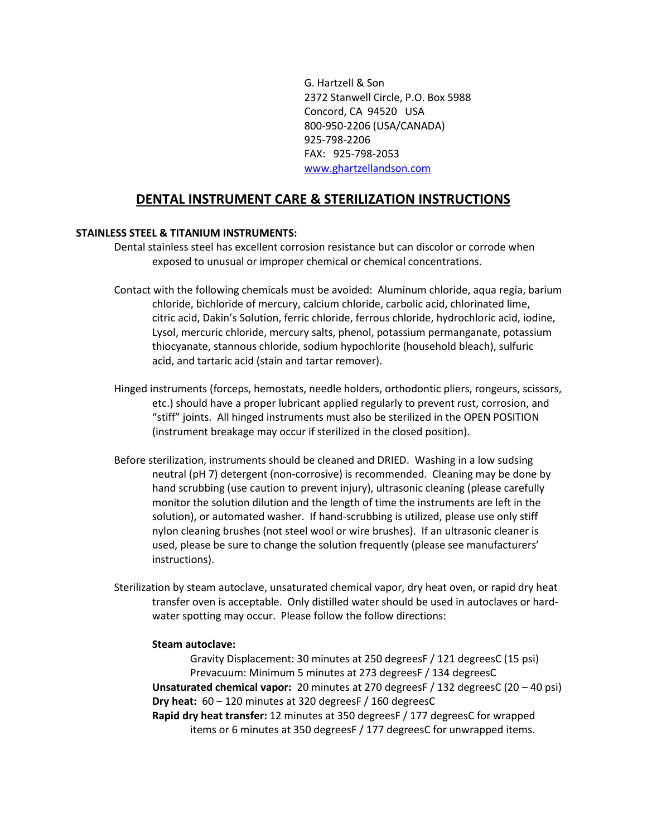G. Hartzell & Son 2372 Stanwell Circle, P.O. Box 5988 Concord, CA 94520 USA 800-950-2206 (USA/CANADA) 925-798-2206 FAX: 925-798-2053 [www.ghartzellandson.com](http://www.ghartzellandson.com/)

## **DENTAL INSTRUMENT CARE & STERILIZATION INSTRUCTIONS**

## **STAINLESS STEEL & TITANIUM INSTRUMENTS:**

- Dental stainless steel has excellent corrosion resistance but can discolor or corrode when exposed to unusual or improper chemical or chemical concentrations.
- Contact with the following chemicals must be avoided: Aluminum chloride, aqua regia, barium chloride, bichloride of mercury, calcium chloride, carbolic acid, chlorinated lime, citric acid, Dakin's Solution, ferric chloride, ferrous chloride, hydrochloric acid, iodine, Lysol, mercuric chloride, mercury salts, phenol, potassium permanganate, potassium thiocyanate, stannous chloride, sodium hypochlorite (household bleach), sulfuric acid, and tartaric acid (stain and tartar remover).
- Hinged instruments (forceps, hemostats, needle holders, orthodontic pliers, rongeurs, scissors, etc.) should have a proper lubricant applied regularly to prevent rust, corrosion, and "stiff" joints. All hinged instruments must also be sterilized in the OPEN POSITION (instrument breakage may occur if sterilized in the closed position).
- Before sterilization, instruments should be cleaned and DRIED. Washing in a low sudsing neutral (pH 7) detergent (non-corrosive) is recommended. Cleaning may be done by hand scrubbing (use caution to prevent injury), ultrasonic cleaning (please carefully monitor the solution dilution and the length of time the instruments are left in the solution), or automated washer. If hand-scrubbing is utilized, please use only stiff nylon cleaning brushes (not steel wool or wire brushes). If an ultrasonic cleaner is used, please be sure to change the solution frequently (please see manufacturers' instructions).
- Sterilization by steam autoclave, unsaturated chemical vapor, dry heat oven, or rapid dry heat transfer oven is acceptable. Only distilled water should be used in autoclaves or hardwater spotting may occur. Please follow the follow directions:

## **Steam autoclave:**

Gravity Displacement: 30 minutes at 250 degreesF / 121 degreesC (15 psi) Prevacuum: Minimum 5 minutes at 273 degreesF / 134 degreesC

**Unsaturated chemical vapor:** 20 minutes at 270 degreesF / 132 degreesC (20 – 40 psi) **Dry heat:** 60 – 120 minutes at 320 degreesF / 160 degreesC

**Rapid dry heat transfer:** 12 minutes at 350 degreesF / 177 degreesC for wrapped items or 6 minutes at 350 degreesF / 177 degreesC for unwrapped items.